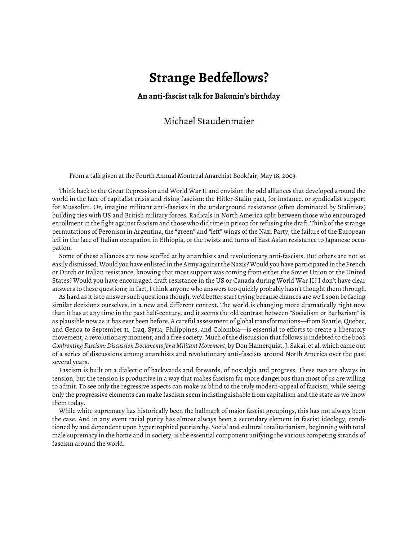## **Strange Bedfellows?**

**An anti-fascist talk for Bakunin's birthday**

## Michael Staudenmaier

From a talk given at the Fourth Annual Montreal Anarchist Bookfair, May 18, 2003

Think back to the Great Depression and World War II and envision the odd alliances that developed around the world in the face of capitalist crisis and rising fascism: the Hitler-Stalin pact, for instance, or syndicalist support for Mussolini. Or, imagine militant anti-fascists in the underground resistance (often dominated by Stalinists) building ties with US and British military forces. Radicals in North America split between those who encouraged enrollment in the fight against fascism and those who did time in prison for refusing the draft. Think of the strange permutations of Peronism in Argentina, the "green" and "left" wings of the Nazi Party, the failure of the European left in the face of Italian occupation in Ethiopia, or the twists and turns of East Asian resistance to Japanese occupation.

Some of these alliances are now scoffed at by anarchists and revolutionary anti-fascists. But others are not so easily dismissed. Would you have enlisted in the Army against the Nazis? Would you have participated in the French or Dutch or Italian resistance, knowing that most support was coming from either the Soviet Union or the United States? Would you have encouraged draft resistance in the US or Canada during World War II? I don't have clear answers to these questions; in fact, I think anyone who answers too quickly probably hasn't thought them through.

As hard as it is to answer such questions though, we'd better start trying because chances are we'll soon be facing similar decisions ourselves, in a new and different context. The world is changing more dramatically right now than it has at any time in the past half-century, and it seems the old contrast between "Socialism or Barbarism" is as plausible now as it has ever been before. A careful assessment of global transformations—from Seattle, Quebec, and Genoa to September 11, Iraq, Syria, Philippines, and Colombia—is essential to efforts to create a liberatory movement, a revolutionary moment, and a free society. Much of the discussion that follows is indebted to the book *Confronting Fascism: Discussion Documents for a Militant Movement*, by Don Hamerquist, J. Sakai, et al. which came out of a series of discussions among anarchists and revolutionary anti-fascists around North America over the past several years.

Fascism is built on a dialectic of backwards and forwards, of nostalgia and progress. These two are always in tension, but the tension is productive in a way that makes fascism far more dangerous than most of us are willing to admit. To see only the regressive aspects can make us blind to the truly modern-appeal of fascism, while seeing only the progressive elements can make fascism seem indistinguishable from capitalism and the state as we know them today.

While white supremacy has historically been the hallmark of major fascist groupings, this has not always been the case. And in any event racial purity has almost always been a secondary element in fascist ideology, conditioned by and dependent upon hypertrophied patriarchy. Social and cultural totalitarianism, beginning with total male supremacy in the home and in society, is the essential component unifying the various competing strands of fascism around the world.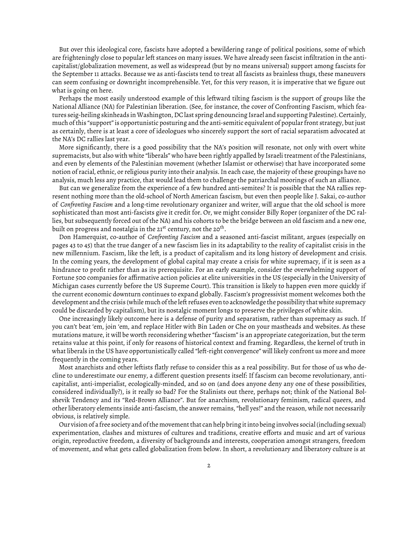But over this ideological core, fascists have adopted a bewildering range of political positions, some of which are frighteningly close to popular left stances on many issues. We have already seen fascist infiltration in the anticapitalist/globalization movement, as well as widespread (but by no means universal) support among fascists for the September 11 attacks. Because we as anti-fascists tend to treat all fascists as brainless thugs, these maneuvers can seem confusing or downright incomprehensible. Yet, for this very reason, it is imperative that we figure out what is going on here.

Perhaps the most easily understood example of this leftward tilting fascism is the support of groups like the National Alliance (NA) for Palestinian liberation. (See, for instance, the cover of Confronting Fascism, which features seig-heiling skinheads in Washington, DC last spring denouncing Israel and supporting Palestine). Certainly, much of this "support" is opportunistic posturing and the anti-semitic equivalent of popular front strategy, but just as certainly, there is at least a core of ideologues who sincerely support the sort of racial separatism advocated at the NA's DC rallies last year.

More significantly, there is a good possibility that the NA's position will resonate, not only with overt white supremacists, but also with white "liberals" who have been rightly appalled by Israeli treatment of the Palestinians, and even by elements of the Palestinian movement (whether Islamist or otherwise) that have incorporated some notion of racial, ethnic, or religious purity into their analysis. In each case, the majority of these groupings have no analysis, much less any practice, that would lead them to challenge the patriarchal moorings of such an alliance.

But can we generalize from the experience of a few hundred anti-semites? It is possible that the NA rallies represent nothing more than the old-school of North American fascism, but even then people like J. Sakai, co-author of *Confronting Fascism* and a long-time revolutionary organizer and writer, will argue that the old school is more sophisticated than most anti-fascists give it credit for. Or, we might consider Billy Roper (organizer of the DC rallies, but subsequently forced out of the NA) and his cohorts to be the bridge between an old fascism and a new one, built on progress and nostalgia in the 21 $^{\rm st}$  century, not the 20 $^{\rm th}$ .

Don Hamerquist, co-author of *Confronting Fascism* and a seasoned anti-fascist militant, argues (especially on pages 43 to 45) that the true danger of a new fascism lies in its adaptability to the reality of capitalist crisis in the new millennium. Fascism, like the left, is a product of capitalism and its long history of development and crisis. In the coming years, the development of global capital may create a crisis for white supremacy, if it is seen as a hindrance to profit rather than as its prerequisite. For an early example, consider the overwhelming support of Fortune 500 companies for affirmative action policies at elite universities in the US (especially in the University of Michigan cases currently before the US Supreme Court). This transition is likely to happen even more quickly if the current economic downturn continues to expand globally. Fascism's progressivist moment welcomes both the development and the crisis (while much of the left refuses even to acknowledge the possibility that white supremacy could be discarded by capitalism), but its nostalgic moment longs to preserve the privileges of white skin.

One increasingly likely outcome here is a defense of purity and separatism, rather than supremacy as such. If you can't beat 'em, join 'em, and replace Hitler with Bin Laden or Che on your mastheads and websites. As these mutations mature, it will be worth reconsidering whether "fascism" is an appropriate categorization, but the term retains value at this point, if only for reasons of historical context and framing. Regardless, the kernel of truth in what liberals in the US have opportunistically called "left-right convergence" will likely confront us more and more frequently in the coming years.

Most anarchists and other leftists flatly refuse to consider this as a real possibility. But for those of us who decline to underestimate our enemy, a different question presents itself: If fascism can become revolutionary, anticapitalist, anti-imperialist, ecologically-minded, and so on (and does anyone deny any one of these possibilities, considered individually?), is it really so bad? For the Stalinists out there, perhaps not; think of the National Bolshevik Tendency and its "Red-Brown Alliance". But for anarchism, revolutionary feminism, radical queers, and other liberatory elements inside anti-fascism, the answer remains, "hell yes!" and the reason, while not necessarily obvious, is relatively simple.

Our vision of a free society and of the movement that can help bring it into being involves social (including sexual) experimentation, clashes and mixtures of cultures and traditions, creative efforts and music and art of various origin, reproductive freedom, a diversity of backgrounds and interests, cooperation amongst strangers, freedom of movement, and what gets called globalization from below. In short, a revolutionary and liberatory culture is at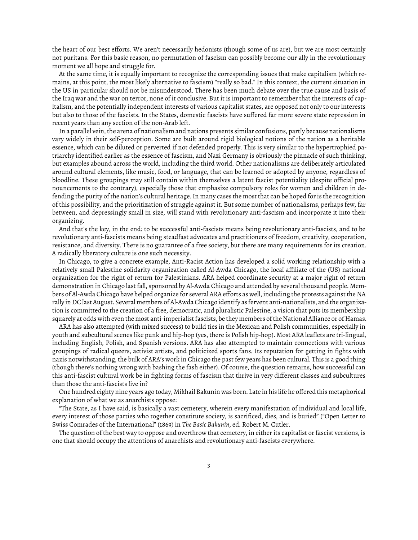the heart of our best efforts. We aren't necessarily hedonists (though some of us are), but we are most certainly not puritans. For this basic reason, no permutation of fascism can possibly become our ally in the revolutionary moment we all hope and struggle for.

At the same time, it is equally important to recognize the corresponding issues that make capitalism (which remains, at this point, the most likely alternative to fascism) "really so bad." In this context, the current situation in the US in particular should not be misunderstood. There has been much debate over the true cause and basis of the Iraq war and the war on terror, none of it conclusive. But it is important to remember that the interests of capitalism, and the potentially independent interests of various capitalist states, are opposed not only to our interests but also to those of the fascists. In the States, domestic fascists have suffered far more severe state repression in recent years than any section of the non-Arab left.

In a parallel vein, the arena of nationalism and nations presents similar confusions, partly because nationalisms vary widely in their self-perception. Some are built around rigid biological notions of the nation as a heritable essence, which can be diluted or perverted if not defended properly. This is very similar to the hypertrophied patriarchy identified earlier as the essence of fascism, and Nazi Germany is obviously the pinnacle of such thinking, but examples abound across the world, including the third world. Other nationalisms are deliberately articulated around cultural elements, like music, food, or language, that can be learned or adopted by anyone, regardless of bloodline. These groupings may still contain within themselves a latent fascist potentiality (despite official pronouncements to the contrary), especially those that emphasize compulsory roles for women and children in defending the purity of the nation's cultural heritage. In many cases the most that can be hoped for is the recognition of this possibility, and the prioritization of struggle against it. But some number of nationalisms, perhaps few, far between, and depressingly small in size, will stand with revolutionary anti-fascism and incorporate it into their organizing.

And that's the key, in the end: to be successful anti-fascists means being revolutionary anti-fascists, and to be revolutionary anti-fascists means being steadfast advocates and practitioners of freedom, creativity, cooperation, resistance, and diversity. There is no guarantee of a free society, but there are many requirements for its creation. A radically liberatory culture is one such necessity.

In Chicago, to give a concrete example, Anti-Racist Action has developed a solid working relationship with a relatively small Palestine solidarity organization called Al-Awda Chicago, the local affiliate of the (US) national organization for the right of return for Palestinians. ARA helped coordinate security at a major right of return demonstration in Chicago last fall, sponsored by Al-Awda Chicago and attended by several thousand people. Members of Al-Awda Chicago have helped organize for several ARA efforts as well, including the protests against the NA rally in DC last August. Several members of Al-Awda Chicago identify as fervent anti-nationalists, and the organization is committed to the creation of a free, democratic, and pluralistic Palestine, a vision that puts its membership squarely at odds with even the most anti-imperialist fascists, be they members of the National Alliance or of Hamas.

ARA has also attempted (with mixed success) to build ties in the Mexican and Polish communities, especially in youth and subcultural scenes like punk and hip-hop (yes, there is Polish hip-hop). Most ARA leaflets are tri-lingual, including English, Polish, and Spanish versions. ARA has also attempted to maintain connections with various groupings of radical queers, activist artists, and politicized sports fans. Its reputation for getting in fights with nazis notwithstanding, the bulk of ARA's work in Chicago the past few years has been cultural. This is a good thing (though there's nothing wrong with bashing the fash either). Of course, the question remains, how successful can this anti-fascist cultural work be in fighting forms of fascism that thrive in very different classes and subcultures than those the anti-fascists live in?

One hundred eighty nine years ago today, Mikhail Bakunin was born. Late in his life he offered this metaphorical explanation of what we as anarchists oppose:

"The State, as I have said, is basically a vast cemetery, wherein every manifestation of individual and local life, every interest of those parties who together constitute society, is sacrificed, dies, and is buried" ("Open Letter to Swiss Comrades of the International" (1869) in *The Basic Bakunin*, ed. Robert M. Cutler.

The question of the best way to oppose and overthrow that cemetery, in either its capitalist or fascist versions, is one that should occupy the attentions of anarchists and revolutionary anti-fascists everywhere.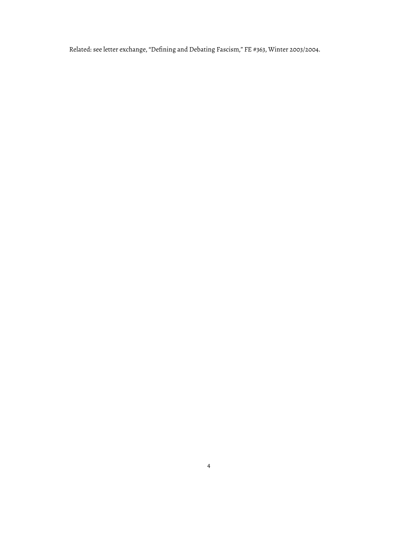Related: see letter exchange, "Defining and Debating Fascism," [FE #363, Winter 2003/2004.](https://www.fifthestate.org/archive/363-winter-20032004/defining-and-debating-fascism/)